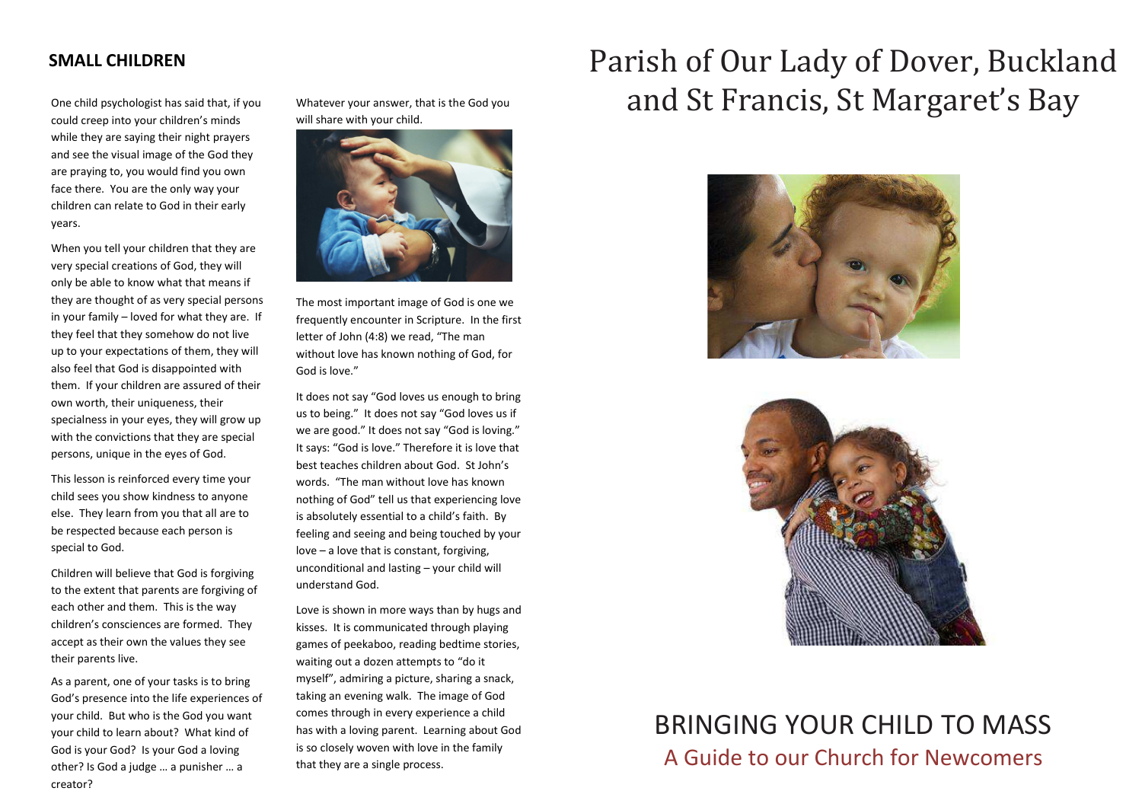#### **SMALL CHILDREN**

One child psychologist has said that, if you could creep into your children's minds while they are saying their night prayers and see the visual image of the God they are praying to, you would find you own face there. You are the only way your children can relate to God in their early years.

When you tell your children that they are very special creations of God, they will only be able to know what that means if they are thought of as very special persons in your family – loved for what they are. If they feel that they somehow do not live up to your expectations of them, they will also feel that God is disappointed with them. If your children are assured of their own worth, their uniqueness, their specialness in your eyes, they will grow up with the convictions that they are special persons, unique in the eyes of God.

This lesson is reinforced every time your child sees you show kindness to anyone else. They learn from you that all are to be respected because each person is special to God.

Children will believe that God is forgiving to the extent that parents are forgiving of each other and them. This is the way children's consciences are formed. They accept as their own the values they see their parents live.

As a parent, one of your tasks is to bring God's presence into the life experiences of your child. But who is the God you want your child to learn about? What kind of God is your God? Is your God a loving other? Is God a judge … a punisher … a creator?

Whatever your answer, that is the God you will share with your child.



The most important image of God is one we frequently encounter in Scripture. In the first letter of John (4:8) we read, "The man without love has known nothing of God, for God is love."

It does not say "God loves us enough to bring us to being." It does not say "God loves us if we are good." It does not say "God is loving." It says: "God is love." Therefore it is love that best teaches children about God. St John's words. "The man without love has known nothing of God" tell us that experiencing love is absolutely essential to a child's faith. By feeling and seeing and being touched by your love – a love that is constant, forgiving, unconditional and lasting – your child will understand God.

Love is shown in more ways than by hugs and kisses. It is communicated through playing games of peekaboo, reading bedtime stories, waiting out a dozen attempts to "do it myself", admiring a picture, sharing a snack, taking an evening walk. The image of God comes through in every experience a child has with a loving parent. Learning about God is so closely woven with love in the family that they are a single process.

# Parish of Our Lady of Dover, Buckland and St Francis, St Margaret's Bay





## BRINGING YOUR CHILD TO MASS A Guide to our Church for Newcomers